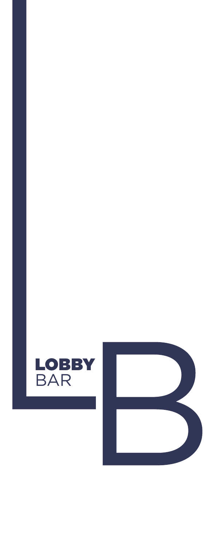

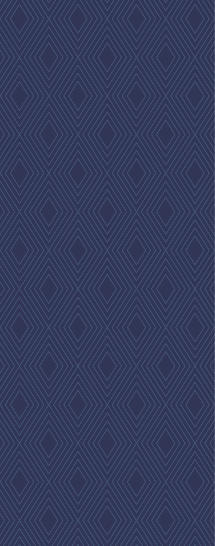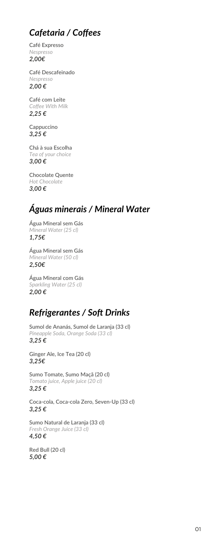# *Cafetaria / Coffees*

**Café Expresso** *Nespresso 2,00€*

**Café Descafeinado** *Nespresso 2,00 €*

**Café com Leite** *Coffee With Milk 2,25 €*

**Cappuccino** *3,25 €*

**Chá à sua Escolha** *Tea of your choice 3,00 €*

**Chocolate Quente** *Hot Chocolate 3,00 €*

# *Águas minerais / Mineral Water*

**Água Mineral sem Gás** *Mineral Water (25 cl) 1,75€*

**Água Mineral sem Gás** *Mineral Water (50 cl) 2,50€*

**Água Mineral com Gás** *Sparkling Water (25 cl) 2,00 €*

# *Refrigerantes / Soft Drinks*

**Sumol de Ananás, Sumol de Laranja (33 cl)** *Pineapple Soda, Orange Soda (33 cl) 3,25 €* 

**Ginger Ale, Ice Tea (20 cl)** *3,25€*

**Sumo Tomate, Sumo Maçã (20 cl)** *Tomato juice, Apple juice (20 cl) 3,25 €*

**Coca-cola, Coca-cola Zero, Seven-Up (33 cl)** *3,25 €*

**Sumo Natural de Laranja (33 cl)** *Fresh Orange Juice (33 cl) 4,50 €*

**Red Bull (20 cl)** *5,00 €*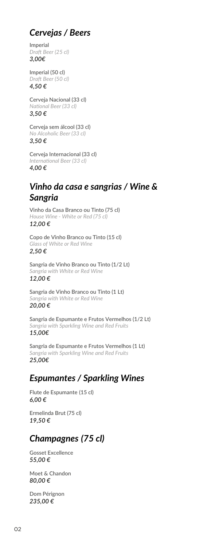## *Cervejas / Beers*

**Imperial** *Draft Beer (25 cl) 3,00€*

**Imperial (50 cl)** *Draft Beer (50 cl) 4,50 €*

**Cerveja Nacional (33 cl)** *National Beer (33 cl) 3,50 €*

**Cerveja sem álcool (33 cl)** *No Alcoholic Beer (33 cl) 3,50 €*

**Cerveja Internacional (33 cl)** *International Beer (33 cl) 4,00 €*

### *Vinho da casa e sangrias / Wine & Sangria*

**Vinho da Casa Branco ou Tinto (75 cl)**  *House Wine - White or Red (75 cl) 12,00 €*

**Copo de Vinho Branco ou Tinto (15 cl)** *Glass of White or Red Wine 2,50 €*

**Sangria de Vinho Branco ou Tinto (1/2 Lt)** *Sangria with White or Red Wine 12,00 €*

**Sangria de Vinho Branco ou Tinto (1 Lt)** *Sangria with White or Red Wine 20,00 €*

**Sangria de Espumante e Frutos Vermelhos (1/2 Lt)** *Sangria with Sparkling Wine and Red Fruits 15,00€*

**Sangria de Espumante e Frutos Vermelhos (1 Lt)** *Sangria with Sparkling Wine and Red Fruits 25,00€*

## *Espumantes / Sparkling Wines*

**Flute de Espumante (15 cl)** *6,00 €*

**Ermelinda Brut (75 cl)** *19,50 €*

### *Champagnes (75 cl)*

**Gosset Excellence** *55,00 €*

**Moet & Chandon** *80,00 €*

**Dom Pérignon** *235,00 €*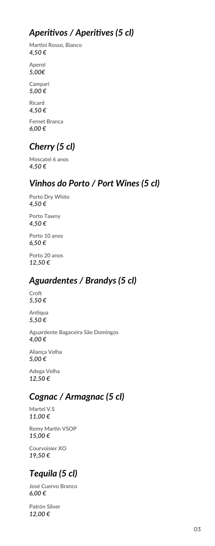# *Aperitivos / Aperitives (5 cl)*

**Martini Rosso, Bianco** *4,50 €*

**Aperol** *5,00€*

**Campari** *5,00 €*

**Ricard** *4,50 €*

**Fernet Branca** *6,00 €*

# *Cherry (5 cl)*

**Moscatel 6 anos** *4,50 €*

## *Vinhos do Porto / Port Wines (5 cl)*

**Porto Dry White** *4,50 €*

**Porto Tawny** *4,50 €*

**Porto 10 anos** *6,50 €*

**Porto 20 anos** *12,50 €*

## *Aguardentes / Brandys (5 cl)*

**Croft** *5,50 €*

**Antiqua** *5,50 €*

**Aguardente Bagaceira São Domingos** *4,00 €*

**Aliança Velha** *5,00 €*

**Adega Velha** *12,50 €*

### *Cognac / Armagnac (5 cl)*

**Martel V.S** *11,00 €*

**Remy Martin VSOP** *15,00 €*

**Courvoisier XO** *19,50 €*

# *Tequila (5 cl)*

**José Cuervo Branco** *6,00 €*

**Patrón Silver** *12,00 €*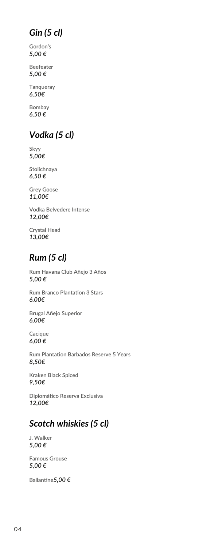# *Gin (5 cl)*

**Gordon's** *5,00 €*

**Beefeater**  *5,00 €*

**Tanqueray** *6,50€*

**Bombay** *6,50 €*

# *Vodka (5 cl)*

**Skyy** *5,00€*

**Stolichnaya** *6,50 €*

**Grey Goose** *11,00€*

**Vodka Belvedere Intense** *12,00€*

**Crystal Head** *13,00€*

# *Rum (5 cl)*

**Rum Havana Club Añejo 3 Años** *5,00 €*

**Rum Branco Plantation 3 Stars**  *6.00€*

**Brugal Añejo Superior** *6,00€*

**Cacique** *6,00 €*

**Rum Plantation Barbados Reserve 5 Years** *8,50€*

**Kraken Black Spiced**  *9,50€*

**Diplomático Reserva Exclusiva**  *12,00€*

# *Scotch whiskies (5 cl)*

**J. Walker** *5,00 €*

**Famous Grouse** *5,00 €*

**Ballantine***5,00 €*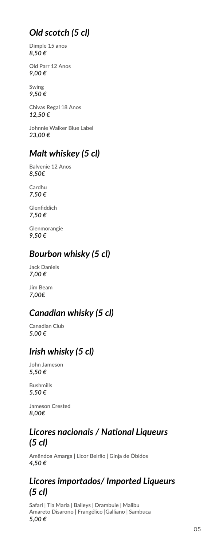# *Old scotch (5 cl)*

**Dimple 15 anos** *8,50 €*

**Old Parr 12 Anos** *9,00 €*

**Swing** *9,50 €*

**Chivas Regal 18 Anos** *12,50 €*

**Johnnie Walker Blue Label** *23,00 €*

# *Malt whiskey (5 cl)*

**Balvenie 12 Anos** *8,50€*

**Cardhu** *7,50 €*

**Glenfiddich** *7,50 €*

**Glenmorangie** *9,50 €*

## *Bourbon whisky (5 cl)*

**Jack Daniels** *7,00 €*

**Jim Beam** *7,00€*

# *Canadian whisky (5 cl)*

**Canadian Club** *5,00 €*

# *Irish whisky (5 cl)*

**John Jameson** *5,50 €*

**Bushmills** *5,50 €*

**Jameson Crested** *8,00€*

## *Licores nacionais / National Liqueurs (5 cl)*

**Amêndoa Amarga | Licor Beirão | Ginja de Óbidos** *4,50 €*

# *Licores importados/ Imported Liqueurs (5 cl)*

**Safari | Tia Maria | Baileys | Drambuie | Malibu Amareto Disarono | Frangélico |Galliano | Sambuca** *5,00 €*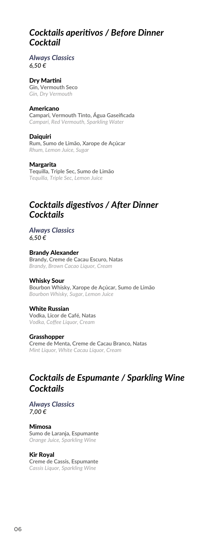### *Cocktails aperitivos / Before Dinner Cocktail*

#### *Always Classics 6,50 €*

Dry Martini **Gin, Vermouth Seco**  *Gin, Dry Vermouth*

#### Americano

**Campari, Vermouth Tinto, Água Gaseificada** *Campari, Red Vermouth, Sparkling Water*

#### Daiquiri

**Rum, Sumo de Limão, Xarope de Açúcar**  *Rhum, Lemon Juice, Sugar*

#### Margarita **Tequilla, Triple Sec, Sumo de Limão** *Tequilla, Triple Sec, Lemon Juice*

### *Cocktails digestivos / After Dinner Cocktails*

*Always Classics 6,50 €*

#### Brandy Alexander

**Brandy, Creme de Cacau Escuro, Natas**  *Brandy, Brown Cacao Liquor, Cream*

### Whisky Sour

**Bourbon Whisky, Xarope de Açúcar, Sumo de Limão**  *Bourbon Whisky, Sugar, Lemon Juice*

### White Russian

**Vodka, Licor de Café, Natas**  *Vodka, Coffee Liquor, Cream*

#### Grasshopper

**Creme de Menta, Creme de Cacau Branco, Natas**  *Mint Liquor, White Cacau Liquor, Cream*

## *Cocktails de Espumante / Sparkling Wine Cocktails*

*Always Classics 7,00 €*

Mimosa **Sumo de Laranja, Espumante**  *Orange Juice, Sparkling Wine*

### Kir Royal

**Creme de Cassis, Espumante**  *Cassis Liquor, Sparkling Wine*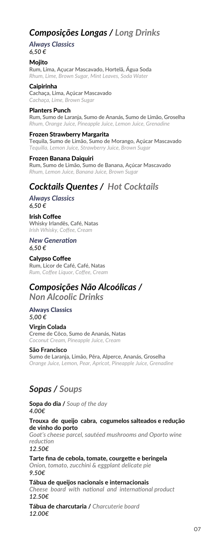# *Composições Longas / Long Drinks*

#### *Always Classics 6,50 €*

Mojito **Rum, Lima, Açucar Mascavado, Hortelã, Água Soda** *Rhum, Lime, Brown Sugar, Mint Leaves, Soda Water*

Caipirinha **Cachaça, Lima, Açúcar Mascavado**  *Cachaça, Lime, Brown Sugar*

#### Planters Punch

**Rum, Sumo de Laranja, Sumo de Ananás, Sumo de Limão, Groselha** *Rhum, Orange Juice, Pineapple Juice, Lemon Juice, Grenadine*

Frozen Strawberry Margarita **Tequila, Sumo de Limão, Sumo de Morango, Açúcar Mascavado** *Tequilla, Lemon Juice, Strawberry Juice, Brown Sugar*

Frozen Banana Daiquiri **Rum, Sumo de Limão, Sumo de Banana, Açúcar Mascavado** *Rhum, Lemon Juice, Banana Juice, Brown Sugar*

# *Cocktails Quentes / Hot Cocktails*

*Always Classics 6,50 €*

Irish Coffee **Whisky Irlandês, Café, Natas**  *Irish Whisky, Coffee, Cream*

*New Generation 6,50 €*

Calypso Coffee **Rum, Licor de Café, Café, Natas** *Rum, Coffee Liquor, Coffee, Cream*

*Composições Não Alcoólicas / Non Alcoolic Drinks*

Always Classics *5,00 €*

Virgin Colada **Creme de Côco, Sumo de Ananás, Natas**  *Coconut Cream, Pineapple Juice, Cream*

São Francisco

**Sumo de Laranja, Limão, Pêra, Alperce, Ananás, Groselha** *Orange Juice, Lemon, Pear, Apricot, Pineapple Juice, Grenadine*

## *Sopas / Soups*

Sopa do dia / *Soup of the day 4.00€*

Trouxa de queijo cabra, cogumelos salteados e redução de vinho do porto *Goat's cheese parcel, sautéed mushrooms and Oporto wine reduction 12.50€*

Tarte fina de cebola, tomate, courgette e beringela *Onion, tomato, zucchini & eggplant delicate pie 9.50€*

Tábua de queijos nacionais e internacionais *Cheese board with national and international product 12.50€*

Tábua de charcutaria / *Charcuterie board 12.00€*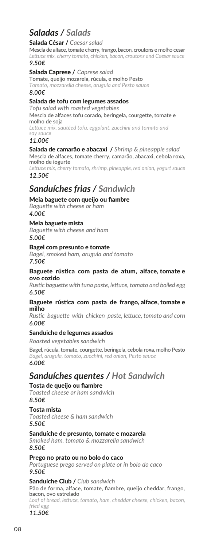# *Saladas / Salads*

Salada César / *Caesar salad*

**Mescla de alface, tomate cherry, frango, bacon, croutons e molho cesar**  *Lettuce mix, cherry tomato, chicken, bacon, croutons and Caesar sauce*

### *9.50€*

Salada Caprese / *Caprese salad*  **Tomate, queijo mozarela, rúcula, e molho Pesto** *Tomato, mozzarella cheese, arugula and Pesto sauce 8.00€*

### Salada de tofu com legumes assados

*Tofu salad with roasted vegetables*

**Mescla de alfaces tofu corado, beringela, courgette, tomate e molho de soja** 

*Lettuce mix, sautéed tofu, eggplant, zucchini and tomato and soy sauce*

### *11.00€*

### Salada de camarão e abacaxi / *Shrimp & pineapple salad*

**Mescla de alfaces, tomate cherry, camarão, abacaxi, cebola roxa, molho de iogurte**  *Lettuce mix, cherry tomato, shrimp, pineapple, red onion, yogurt sauce*

*12.50€*

# *Sanduíches frias / Sandwich*

### Meia baguete com queijo ou fiambre

*Baguette with cheese or ham 4.00€*

### Meia baguete mista

*Baguette with cheese and ham 5.00€*

### Bagel com presunto e tomate

*Bagel, smoked ham, arugula and tomato 7.50€*

#### Baguete rústica com pasta de atum, alface, tomate e ovo cozido

*Rustic baguette with tuna paste, lettuce, tomato and boiled egg 6.50€*

#### Baguete rústica com pasta de frango, alface, tomate e milho

*Rustic baguette with chicken paste, lettuce, tomato and corn 6.00€*

### Sanduiche de legumes assados

*Roasted vegetables sandwich*

**Bagel, rúcula, tomate, courgette, beringela, cebola roxa, molho Pesto**  *Bagel, arugula, tomato, zucchini, red onion, Pesto sauce 6.00€*

# *Sanduíches quentes / Hot Sandwich*

### Tosta de queijo ou fiambre

*Toasted cheese or ham sandwich 8.50€*

### Tosta mista

*Toasted cheese & ham sandwich 5.50€*

### Sanduíche de presunto, tomate e mozarela

*Smoked ham, tomato & mozzarella sandwich 8.50€*

### Prego no prato ou no bolo do caco

*Portuguese prego served on plate or in bolo do caco 9.50€*

### Sanduíche Club / *Club sandwich*

**Pão de forma, alface, tomate, fiambre, queijo cheddar, frango, bacon, ovo estrelado**

*Loaf of bread, lettuce, tomato, ham, cheddar cheese, chicken, bacon, fried egg*

#### *11.50€*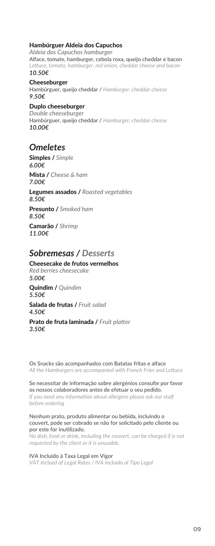### Hambúrguer Aldeia dos Capuchos

*Aldeia dos Capuchos hamburger* **Alface, tomate, hamburger, cebola roxa, queijo cheddar e bacon** *Lettuce, tomato, hamburger, red onion, cheddar cheese and bacon 10.50€*

#### **Cheeseburger**

**Hambúrguer, queijo cheddar /** *Hamburger, cheddar cheese 9.50€*

#### Duplo cheeseburger

*Double cheeseburger* **Hambúrguer, queijo cheddar /** *Hamburger, cheddar cheese 10.00€*

### *Omeletes*

Simples / *Simple 6.00€* Mista / *Cheese & ham*

*7.00€* Legumes assados / *Roasted vegetables 8.50€*

Presunto / *Smoked ham 8.50€*

Camarão / *Shrimp 11.00€*

### *Sobremesas / Desserts*

Cheesecake de frutos vermelhos *Red berries cheesecake 5.00€* Quindim / *Quindim 5.50€*

Salada de frutas / *Fruit salad 4.50€*

#### Prato de fruta laminada / *Fruit platter 3.50€*

**Os Snacks são acompanhados com Batatas fritas e alface** *All the Hamburgers are accompanied with French Fries and Lettuce*

**Se necessitar de informação sobre alergénios consulte por favor os nossos colaboradores antes de efetuar o seu pedido.** *If you need any information about allergens please ask our staff before ordering*

#### **Nenhum prato, produto alimentar ou bebida, incluindo o couvert, pode ser cobrado se não for solicitado pelo cliente ou por este for inutilizado.**

*No dish, food or drink, including the couvert, can be charged if is not requested by the client or it is unusable.*

**IVA Incluído à Taxa Legal em Vigor**

*VAT Inclued of Legal Rates / IVA Incluido al Tipo Legal*